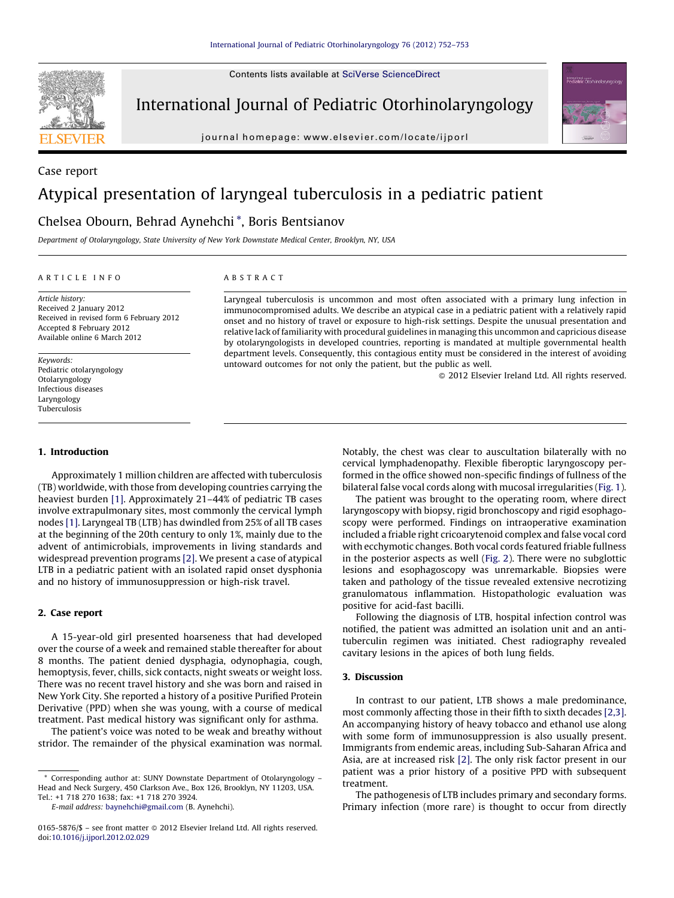Contents lists available at SciVerse [ScienceDirect](http://www.sciencedirect.com/science/journal/01655876)



International Journal of Pediatric Otorhinolaryngology

journal homepage: www.elsevier.com/locate/ijporl



# Case report Atypical presentation of laryngeal tuberculosis in a pediatric patient

## Chelsea Obourn, Behrad Aynehchi \*, Boris Bentsianov

Department of Otolaryngology, State University of New York Downstate Medical Center, Brooklyn, NY, USA

## A R T I C L E I N F O

Article history: Received 2 January 2012 Received in revised form 6 February 2012 Accepted 8 February 2012 Available online 6 March 2012

Keywords: Pediatric otolaryngology Otolaryngology Infectious diseases Laryngology Tuberculosis

## 1. Introduction

Approximately 1 million children are affected with tuberculosis (TB) worldwide, with those from developing countries carrying the heaviest burden [\[1\]](#page-1-0). Approximately 21–44% of pediatric TB cases involve extrapulmonary sites, most commonly the cervical lymph nodes [\[1\].](#page-1-0) Laryngeal TB (LTB) has dwindled from 25% of all TB cases at the beginning of the 20th century to only 1%, mainly due to the advent of antimicrobials, improvements in living standards and widespread prevention programs [\[2\]](#page-1-0). We present a case of atypical LTB in a pediatric patient with an isolated rapid onset dysphonia and no history of immunosuppression or high-risk travel.

## 2. Case report

A 15-year-old girl presented hoarseness that had developed over the course of a week and remained stable thereafter for about 8 months. The patient denied dysphagia, odynophagia, cough, hemoptysis, fever, chills, sick contacts, night sweats or weight loss. There was no recent travel history and she was born and raised in New York City. She reported a history of a positive Purified Protein Derivative (PPD) when she was young, with a course of medical treatment. Past medical history was significant only for asthma.

The patient's voice was noted to be weak and breathy without stridor. The remainder of the physical examination was normal.

E-mail address: [baynehchi@gmail.com](mailto:baynehchi@gmail.com) (B. Aynehchi).

## A B S T R A C T

Laryngeal tuberculosis is uncommon and most often associated with a primary lung infection in immunocompromised adults. We describe an atypical case in a pediatric patient with a relatively rapid onset and no history of travel or exposure to high-risk settings. Despite the unusual presentation and relative lack of familiarity with procedural guidelines in managing this uncommon and capricious disease by otolaryngologists in developed countries, reporting is mandated at multiple governmental health department levels. Consequently, this contagious entity must be considered in the interest of avoiding untoward outcomes for not only the patient, but the public as well.

 $\odot$  2012 Elsevier Ireland Ltd. All rights reserved.

Notably, the chest was clear to auscultation bilaterally with no cervical lymphadenopathy. Flexible fiberoptic laryngoscopy performed in the office showed non-specific findings of fullness of the bilateral false vocal cords along with mucosal irregularities [\(Fig.](#page-1-0) 1).

The patient was brought to the operating room, where direct laryngoscopy with biopsy, rigid bronchoscopy and rigid esophagoscopy were performed. Findings on intraoperative examination included a friable right cricoarytenoid complex and false vocal cord with ecchymotic changes. Both vocal cords featured friable fullness in the posterior aspects as well ([Fig.](#page-1-0) 2). There were no subglottic lesions and esophagoscopy was unremarkable. Biopsies were taken and pathology of the tissue revealed extensive necrotizing granulomatous inflammation. Histopathologic evaluation was positive for acid-fast bacilli.

Following the diagnosis of LTB, hospital infection control was notified, the patient was admitted an isolation unit and an antituberculin regimen was initiated. Chest radiography revealed cavitary lesions in the apices of both lung fields.

### 3. Discussion

In contrast to our patient, LTB shows a male predominance, most commonly affecting those in their fifth to sixth decades [\[2,3\].](#page-1-0) An accompanying history of heavy tobacco and ethanol use along with some form of immunosuppression is also usually present. Immigrants from endemic areas, including Sub-Saharan Africa and Asia, are at increased risk [\[2\].](#page-1-0) The only risk factor present in our patient was a prior history of a positive PPD with subsequent treatment.

The pathogenesis of LTB includes primary and secondary forms. Primary infection (more rare) is thought to occur from directly

<sup>\*</sup> Corresponding author at: SUNY Downstate Department of Otolaryngology – Head and Neck Surgery, 450 Clarkson Ave., Box 126, Brooklyn, NY 11203, USA. Tel.: +1 718 270 1638; fax: +1 718 270 3924.

 $0165-5876/\$  – see front matter  $\odot$  2012 Elsevier Ireland Ltd. All rights reserved. doi:[10.1016/j.ijporl.2012.02.029](http://dx.doi.org/10.1016/j.ijporl.2012.02.029)